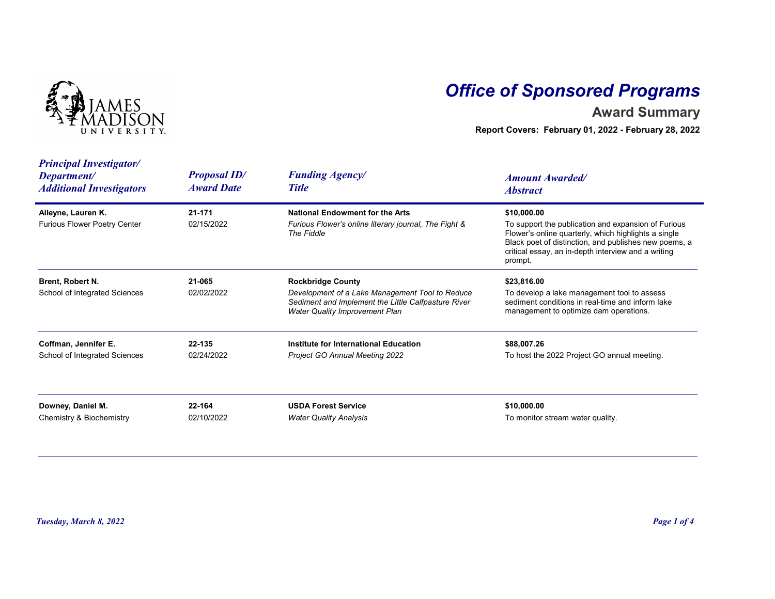

## Office of Sponsored Programs

## Award Summary

| I V E R S I T Y.                                                                 |                                          |                                                                                                                                                                      | <b>Office of Sponsored Programs</b><br><b>Award Summary</b><br>Report Covers: February 01, 2022 - February 28, 2022                                                                                                                                   |  |
|----------------------------------------------------------------------------------|------------------------------------------|----------------------------------------------------------------------------------------------------------------------------------------------------------------------|-------------------------------------------------------------------------------------------------------------------------------------------------------------------------------------------------------------------------------------------------------|--|
| <b>Principal Investigator/</b><br>Department/<br><b>Additional Investigators</b> | <b>Proposal ID/</b><br><b>Award Date</b> | <b>Funding Agency/</b><br><b>Title</b>                                                                                                                               | <b>Amount Awarded/</b><br><b>Abstract</b>                                                                                                                                                                                                             |  |
| Alleyne, Lauren K.<br><b>Furious Flower Poetry Center</b>                        | 21-171<br>02/15/2022                     | <b>National Endowment for the Arts</b><br>Furious Flower's online literary journal, The Fight &<br>The Fiddle                                                        | \$10,000.00<br>To support the publication and expansion of Furious<br>Flower's online quarterly, which highlights a single<br>Black poet of distinction, and publishes new poems, a<br>critical essay, an in-depth interview and a writing<br>prompt. |  |
| Brent, Robert N.<br>School of Integrated Sciences                                | 21-065<br>02/02/2022                     | <b>Rockbridge County</b><br>Development of a Lake Management Tool to Reduce<br>Sediment and Implement the Little Calfpasture River<br>Water Quality Improvement Plan | \$23,816.00<br>To develop a lake management tool to assess<br>sediment conditions in real-time and inform lake<br>management to optimize dam operations.                                                                                              |  |
| Coffman, Jennifer E.<br>School of Integrated Sciences                            | 22-135<br>02/24/2022                     | Institute for International Education<br>Project GO Annual Meeting 2022                                                                                              | \$88,007.26<br>To host the 2022 Project GO annual meeting.                                                                                                                                                                                            |  |
| Downey, Daniel M.<br>Chemistry & Biochemistry                                    | 22-164<br>02/10/2022                     | <b>USDA Forest Service</b><br><b>Water Quality Analysis</b>                                                                                                          | \$10,000.00<br>To monitor stream water quality.                                                                                                                                                                                                       |  |
|                                                                                  |                                          |                                                                                                                                                                      |                                                                                                                                                                                                                                                       |  |
| Tuesday, March 8, 2022                                                           |                                          |                                                                                                                                                                      | Page 1 of 4                                                                                                                                                                                                                                           |  |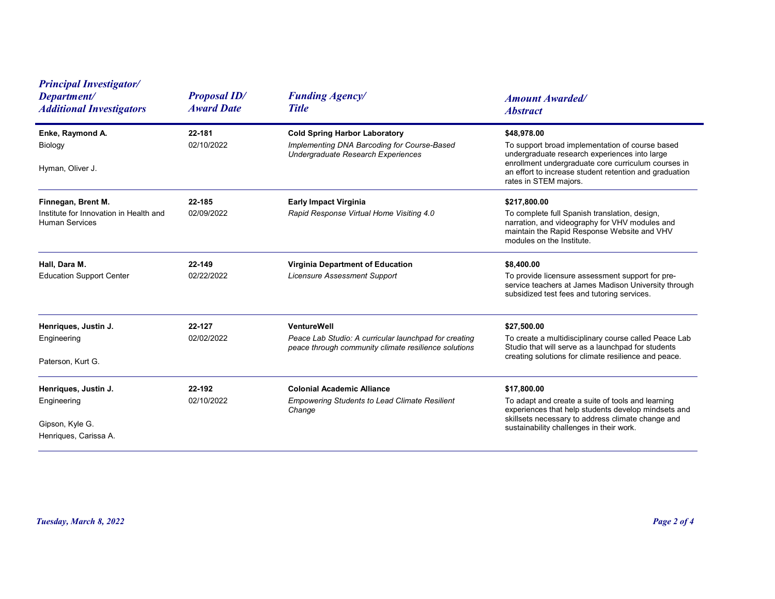| <b>Principal Investigator/</b><br>Department/<br><b>Additional Investigators</b>      | <b>Proposal ID/</b><br><b>Award Date</b> | <b>Funding Agency/</b><br><b>Title</b>                                                                                       | <b>Amount Awarded/</b><br><b>Abstract</b>                                                                                                                                                                                                                 |
|---------------------------------------------------------------------------------------|------------------------------------------|------------------------------------------------------------------------------------------------------------------------------|-----------------------------------------------------------------------------------------------------------------------------------------------------------------------------------------------------------------------------------------------------------|
| Enke, Raymond A.<br>Biology<br>Hyman, Oliver J.                                       | 22-181<br>02/10/2022                     | <b>Cold Spring Harbor Laboratory</b><br>Implementing DNA Barcoding for Course-Based<br>Undergraduate Research Experiences    | \$48,978.00<br>To support broad implementation of course based<br>undergraduate research experiences into large<br>enrollment undergraduate core curriculum courses in<br>an effort to increase student retention and graduation<br>rates in STEM majors. |
| Finnegan, Brent M.<br>Institute for Innovation in Health and<br><b>Human Services</b> | 22-185<br>02/09/2022                     | <b>Early Impact Virginia</b><br>Rapid Response Virtual Home Visiting 4.0                                                     | \$217,800.00<br>To complete full Spanish translation, design,<br>narration, and videography for VHV modules and<br>maintain the Rapid Response Website and VHV<br>modules on the Institute.                                                               |
| Hall, Dara M.<br><b>Education Support Center</b>                                      | 22-149<br>02/22/2022                     | Virginia Department of Education<br><b>Licensure Assessment Support</b>                                                      | \$8,400.00<br>To provide licensure assessment support for pre-<br>service teachers at James Madison University through<br>subsidized test fees and tutoring services.                                                                                     |
| Henriques, Justin J.<br>Engineering<br>Paterson, Kurt G.                              | 22-127<br>02/02/2022                     | VentureWell<br>Peace Lab Studio: A curricular launchpad for creating<br>peace through community climate resilience solutions | \$27,500.00<br>To create a multidisciplinary course called Peace Lab<br>Studio that will serve as a launchpad for students<br>creating solutions for climate resilience and peace.                                                                        |
| Henriques, Justin J.<br>Engineering<br>Gipson, Kyle G.<br>Henriques, Carissa A.       | 22-192<br>02/10/2022                     | <b>Colonial Academic Alliance</b><br><b>Empowering Students to Lead Climate Resilient</b><br>Change                          | \$17,800.00<br>To adapt and create a suite of tools and learning<br>experiences that help students develop mindsets and<br>skillsets necessary to address climate change and<br>sustainability challenges in their work.                                  |
| Tuesday, March 8, 2022                                                                |                                          |                                                                                                                              | Page 2 of 4                                                                                                                                                                                                                                               |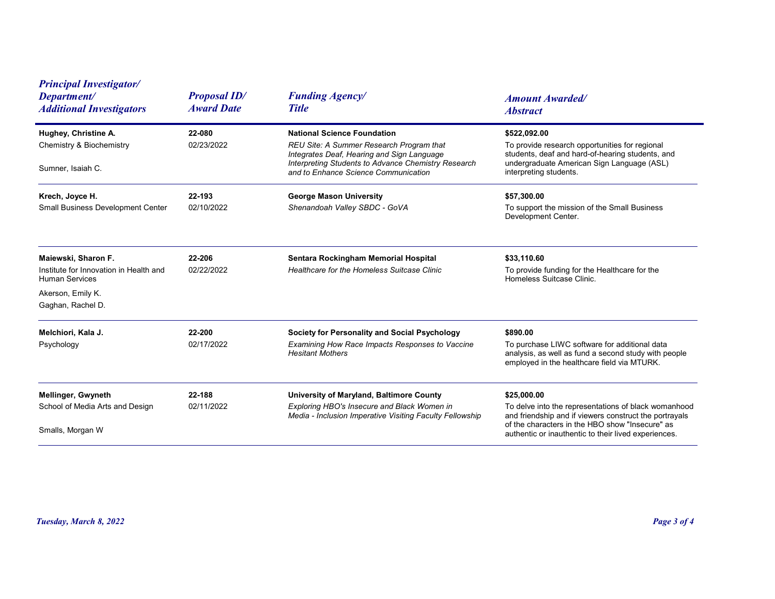| <b>Principal Investigator/</b><br>Department/<br><b>Additional Investigators</b>                                                 | <b>Proposal ID/</b><br><b>Award Date</b> | <b>Funding Agency/</b><br><b>Title</b>                                                                                                                                                                                      | <b>Amount Awarded/</b><br><b>Abstract</b>                                                                                                                                                                                                |
|----------------------------------------------------------------------------------------------------------------------------------|------------------------------------------|-----------------------------------------------------------------------------------------------------------------------------------------------------------------------------------------------------------------------------|------------------------------------------------------------------------------------------------------------------------------------------------------------------------------------------------------------------------------------------|
| Hughey, Christine A.<br><b>Chemistry &amp; Biochemistry</b><br>Sumner, Isaiah C.                                                 | 22-080<br>02/23/2022                     | <b>National Science Foundation</b><br>REU Site: A Summer Research Program that<br>Integrates Deaf, Hearing and Sign Language<br>Interpreting Students to Advance Chemistry Research<br>and to Enhance Science Communication | \$522,092.00<br>To provide research opportunities for regional<br>students, deaf and hard-of-hearing students, and<br>undergraduate American Sign Language (ASL)<br>interpreting students.                                               |
| Krech, Joyce H.<br><b>Small Business Development Center</b>                                                                      | 22-193<br>02/10/2022                     | <b>George Mason University</b><br>Shenandoah Valley SBDC - GoVA                                                                                                                                                             | \$57,300.00<br>To support the mission of the Small Business<br>Development Center.                                                                                                                                                       |
| Maiewski, Sharon F.<br>Institute for Innovation in Health and<br><b>Human Services</b><br>Akerson, Emily K.<br>Gaghan, Rachel D. | 22-206<br>02/22/2022                     | Sentara Rockingham Memorial Hospital<br>Healthcare for the Homeless Suitcase Clinic                                                                                                                                         | \$33,110.60<br>To provide funding for the Healthcare for the<br>Homeless Suitcase Clinic.                                                                                                                                                |
| Melchiori, Kala J.<br>Psychology                                                                                                 | 22-200<br>02/17/2022                     | Society for Personality and Social Psychology<br>Examining How Race Impacts Responses to Vaccine<br><b>Hesitant Mothers</b>                                                                                                 | \$890.00<br>To purchase LIWC software for additional data<br>analysis, as well as fund a second study with people<br>employed in the healthcare field via MTURK.                                                                         |
| Mellinger, Gwyneth<br>School of Media Arts and Design<br>Smalls, Morgan W                                                        | 22-188<br>02/11/2022                     | University of Maryland, Baltimore County<br>Exploring HBO's Insecure and Black Women in<br>Media - Inclusion Imperative Visiting Faculty Fellowship                                                                         | \$25,000.00<br>To delve into the representations of black womanhood<br>and friendship and if viewers construct the portrayals<br>of the characters in the HBO show "Insecure" as<br>authentic or inauthentic to their lived experiences. |
|                                                                                                                                  |                                          |                                                                                                                                                                                                                             |                                                                                                                                                                                                                                          |
| Tuesday, March 8, 2022                                                                                                           |                                          |                                                                                                                                                                                                                             | Page 3 of 4                                                                                                                                                                                                                              |
|                                                                                                                                  |                                          |                                                                                                                                                                                                                             |                                                                                                                                                                                                                                          |